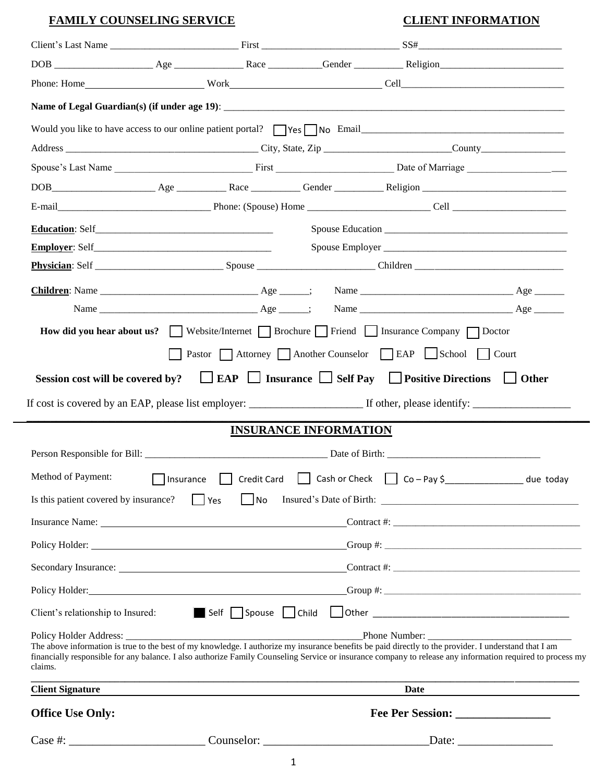#### **FAMILY COUNSELING SERVICE** CLIENT INFORMATION

|                                       |                                                                                      |                              | Client's Last Name First First SS#                                                                                                                                                                                                                                                                                                   |
|---------------------------------------|--------------------------------------------------------------------------------------|------------------------------|--------------------------------------------------------------------------------------------------------------------------------------------------------------------------------------------------------------------------------------------------------------------------------------------------------------------------------------|
|                                       |                                                                                      |                              |                                                                                                                                                                                                                                                                                                                                      |
|                                       |                                                                                      |                              |                                                                                                                                                                                                                                                                                                                                      |
|                                       |                                                                                      |                              |                                                                                                                                                                                                                                                                                                                                      |
|                                       |                                                                                      |                              |                                                                                                                                                                                                                                                                                                                                      |
|                                       |                                                                                      |                              |                                                                                                                                                                                                                                                                                                                                      |
|                                       |                                                                                      |                              |                                                                                                                                                                                                                                                                                                                                      |
|                                       |                                                                                      |                              |                                                                                                                                                                                                                                                                                                                                      |
|                                       |                                                                                      |                              |                                                                                                                                                                                                                                                                                                                                      |
|                                       |                                                                                      |                              |                                                                                                                                                                                                                                                                                                                                      |
|                                       |                                                                                      |                              |                                                                                                                                                                                                                                                                                                                                      |
|                                       |                                                                                      |                              |                                                                                                                                                                                                                                                                                                                                      |
|                                       |                                                                                      |                              |                                                                                                                                                                                                                                                                                                                                      |
|                                       |                                                                                      |                              |                                                                                                                                                                                                                                                                                                                                      |
|                                       | How did you hear about us? Website/Internet Brochure Friend Insurance Company Doctor |                              |                                                                                                                                                                                                                                                                                                                                      |
|                                       |                                                                                      |                              | Pastor Attorney Another Counselor EAP School Court                                                                                                                                                                                                                                                                                   |
|                                       |                                                                                      |                              |                                                                                                                                                                                                                                                                                                                                      |
| Session cost will be covered by?      |                                                                                      |                              | $\Box$ EAP $\Box$ Insurance $\Box$ Self Pay $\Box$ Positive Directions $\Box$ Other                                                                                                                                                                                                                                                  |
|                                       |                                                                                      |                              |                                                                                                                                                                                                                                                                                                                                      |
|                                       |                                                                                      |                              |                                                                                                                                                                                                                                                                                                                                      |
|                                       |                                                                                      | <b>INSURANCE INFORMATION</b> |                                                                                                                                                                                                                                                                                                                                      |
|                                       |                                                                                      |                              |                                                                                                                                                                                                                                                                                                                                      |
|                                       |                                                                                      |                              |                                                                                                                                                                                                                                                                                                                                      |
| Is this patient covered by insurance? | $\Box$ No<br>$\Box$ Yes                                                              |                              | Method of Payment: 11 Insurance 15 Credit Card 15 Cash or Check 15 Co - Pay \$                                                                                                                                                                                                                                                       |
|                                       |                                                                                      |                              |                                                                                                                                                                                                                                                                                                                                      |
|                                       |                                                                                      |                              |                                                                                                                                                                                                                                                                                                                                      |
|                                       |                                                                                      |                              |                                                                                                                                                                                                                                                                                                                                      |
|                                       |                                                                                      |                              |                                                                                                                                                                                                                                                                                                                                      |
| Client's relationship to Insured:     |                                                                                      |                              |                                                                                                                                                                                                                                                                                                                                      |
| claims.                               |                                                                                      |                              | Phone Number:<br>The above information is true to the best of my knowledge. I authorize my insurance benefits be paid directly to the provider. I understand that I am<br>financially responsible for any balance. I also authorize Family Counseling Service or insurance company to release any information required to process my |
| <b>Client Signature</b>               |                                                                                      |                              | <u> 1980 - Johann John Stone, mars eta biztanleria (</u><br>Date<br>the control of the control of the control of the control of the control of the control of                                                                                                                                                                        |
| <b>Office Use Only:</b>               |                                                                                      |                              | Fee Per Session:                                                                                                                                                                                                                                                                                                                     |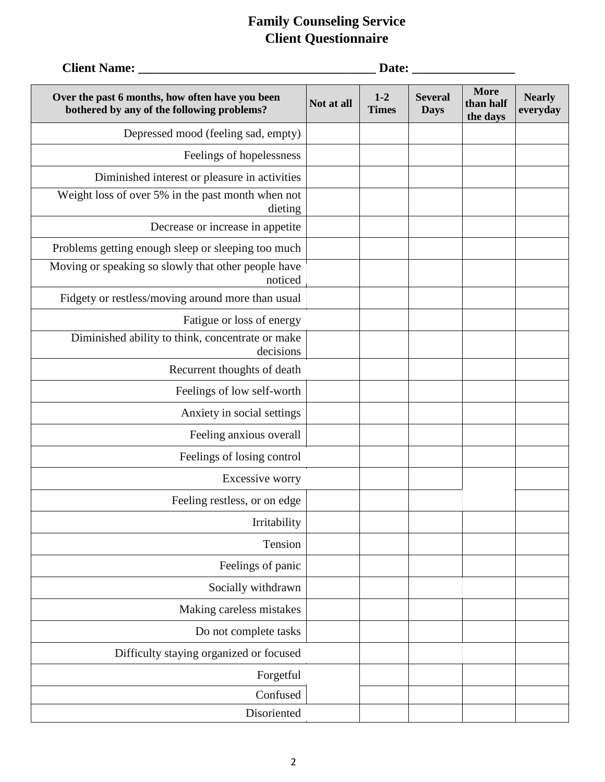| <b>Client Name:</b>                                                                           | Date:      |                         |                               |                                      |                           |
|-----------------------------------------------------------------------------------------------|------------|-------------------------|-------------------------------|--------------------------------------|---------------------------|
| Over the past 6 months, how often have you been<br>bothered by any of the following problems? | Not at all | $1 - 2$<br><b>Times</b> | <b>Several</b><br><b>Days</b> | <b>More</b><br>than half<br>the days | <b>Nearly</b><br>everyday |
| Depressed mood (feeling sad, empty)                                                           |            |                         |                               |                                      |                           |
| Feelings of hopelessness                                                                      |            |                         |                               |                                      |                           |
| Diminished interest or pleasure in activities                                                 |            |                         |                               |                                      |                           |
| Weight loss of over 5% in the past month when not<br>dieting                                  |            |                         |                               |                                      |                           |
| Decrease or increase in appetite                                                              |            |                         |                               |                                      |                           |
| Problems getting enough sleep or sleeping too much                                            |            |                         |                               |                                      |                           |
| Moving or speaking so slowly that other people have<br>noticed                                |            |                         |                               |                                      |                           |
| Fidgety or restless/moving around more than usual                                             |            |                         |                               |                                      |                           |
| Fatigue or loss of energy                                                                     |            |                         |                               |                                      |                           |
| Diminished ability to think, concentrate or make<br>decisions                                 |            |                         |                               |                                      |                           |
| Recurrent thoughts of death                                                                   |            |                         |                               |                                      |                           |
| Feelings of low self-worth                                                                    |            |                         |                               |                                      |                           |
| Anxiety in social settings                                                                    |            |                         |                               |                                      |                           |
| Feeling anxious overall                                                                       |            |                         |                               |                                      |                           |
| Feelings of losing control                                                                    |            |                         |                               |                                      |                           |
| Excessive worry                                                                               |            |                         |                               |                                      |                           |
| Feeling restless, or on edge                                                                  |            |                         |                               |                                      |                           |
| Irritability                                                                                  |            |                         |                               |                                      |                           |
| Tension                                                                                       |            |                         |                               |                                      |                           |
| Feelings of panic                                                                             |            |                         |                               |                                      |                           |
| Socially withdrawn                                                                            |            |                         |                               |                                      |                           |
| Making careless mistakes                                                                      |            |                         |                               |                                      |                           |
| Do not complete tasks                                                                         |            |                         |                               |                                      |                           |
| Difficulty staying organized or focused                                                       |            |                         |                               |                                      |                           |
| Forgetful                                                                                     |            |                         |                               |                                      |                           |
| Confused                                                                                      |            |                         |                               |                                      |                           |
| Disoriented                                                                                   |            |                         |                               |                                      |                           |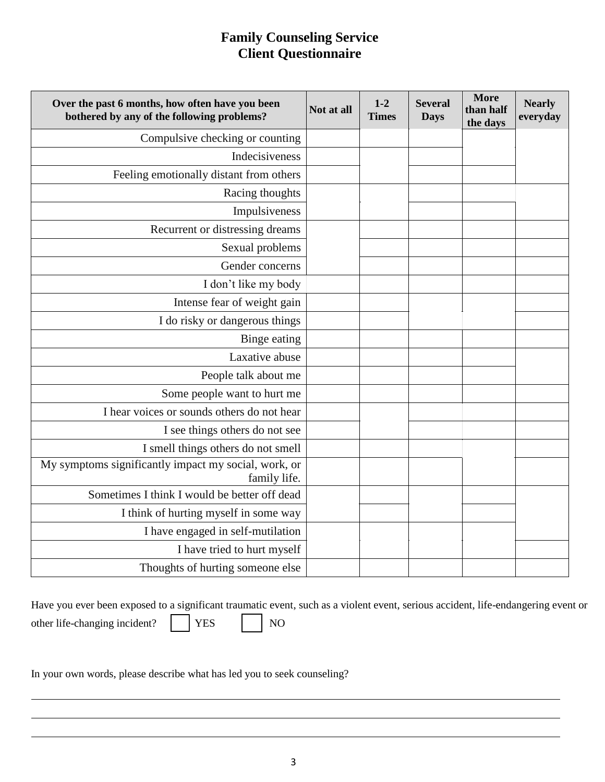| Over the past 6 months, how often have you been<br>bothered by any of the following problems? | Not at all | $1 - 2$<br><b>Times</b> | <b>Several</b><br><b>Days</b> | <b>More</b><br>than half<br>the days | <b>Nearly</b><br>everyday |
|-----------------------------------------------------------------------------------------------|------------|-------------------------|-------------------------------|--------------------------------------|---------------------------|
| Compulsive checking or counting                                                               |            |                         |                               |                                      |                           |
| Indecisiveness                                                                                |            |                         |                               |                                      |                           |
| Feeling emotionally distant from others                                                       |            |                         |                               |                                      |                           |
| Racing thoughts                                                                               |            |                         |                               |                                      |                           |
| Impulsiveness                                                                                 |            |                         |                               |                                      |                           |
| Recurrent or distressing dreams                                                               |            |                         |                               |                                      |                           |
| Sexual problems                                                                               |            |                         |                               |                                      |                           |
| Gender concerns                                                                               |            |                         |                               |                                      |                           |
| I don't like my body                                                                          |            |                         |                               |                                      |                           |
| Intense fear of weight gain                                                                   |            |                         |                               |                                      |                           |
| I do risky or dangerous things                                                                |            |                         |                               |                                      |                           |
| Binge eating                                                                                  |            |                         |                               |                                      |                           |
| Laxative abuse                                                                                |            |                         |                               |                                      |                           |
| People talk about me                                                                          |            |                         |                               |                                      |                           |
| Some people want to hurt me                                                                   |            |                         |                               |                                      |                           |
| I hear voices or sounds others do not hear                                                    |            |                         |                               |                                      |                           |
| I see things others do not see                                                                |            |                         |                               |                                      |                           |
| I smell things others do not smell                                                            |            |                         |                               |                                      |                           |
| My symptoms significantly impact my social, work, or<br>family life.                          |            |                         |                               |                                      |                           |
| Sometimes I think I would be better off dead                                                  |            |                         |                               |                                      |                           |
| I think of hurting myself in some way                                                         |            |                         |                               |                                      |                           |
| I have engaged in self-mutilation                                                             |            |                         |                               |                                      |                           |
| I have tried to hurt myself                                                                   |            |                         |                               |                                      |                           |
| Thoughts of hurting someone else                                                              |            |                         |                               |                                      |                           |

Have you ever been exposed to a significant traumatic event, such as a violent event, serious accident, life-endangering event or other life-changing incident? | | YES | | NO

In your own words, please describe what has led you to seek counseling?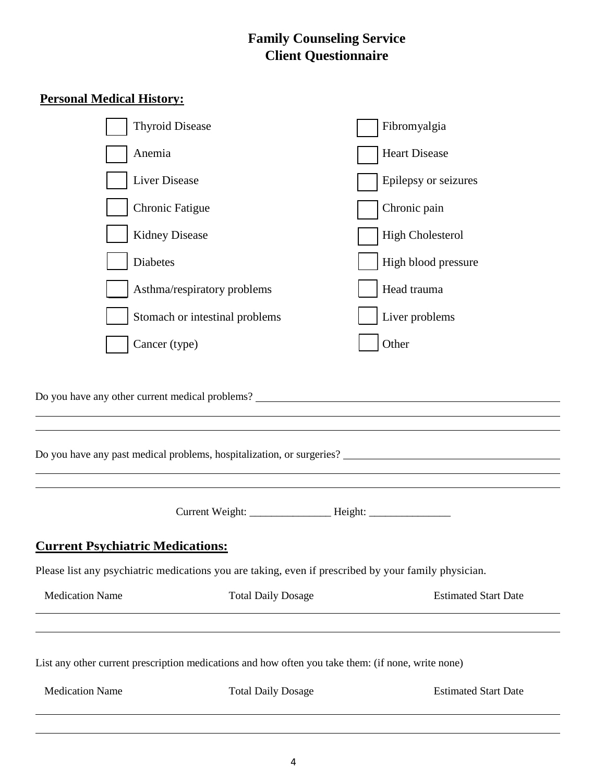### **Personal Medical History:**

| <b>Medication Name</b>                                                                             | <b>Total Daily Dosage</b>      | <b>Estimated Start Date</b>                                                                          |
|----------------------------------------------------------------------------------------------------|--------------------------------|------------------------------------------------------------------------------------------------------|
| List any other current prescription medications and how often you take them: (if none, write none) |                                |                                                                                                      |
| <b>Medication Name</b>                                                                             | <b>Total Daily Dosage</b>      | <b>Estimated Start Date</b>                                                                          |
|                                                                                                    |                                | Please list any psychiatric medications you are taking, even if prescribed by your family physician. |
| <b>Current Psychiatric Medications:</b>                                                            |                                |                                                                                                      |
|                                                                                                    |                                |                                                                                                      |
|                                                                                                    |                                | Do you have any past medical problems, hospitalization, or surgeries?                                |
|                                                                                                    |                                | Do you have any other current medical problems? _________________________________                    |
|                                                                                                    |                                |                                                                                                      |
| Cancer (type)                                                                                      |                                | Other                                                                                                |
|                                                                                                    | Stomach or intestinal problems | Liver problems                                                                                       |
|                                                                                                    | Asthma/respiratory problems    | Head trauma                                                                                          |
| Diabetes                                                                                           |                                | High blood pressure                                                                                  |
| <b>Kidney Disease</b>                                                                              |                                | <b>High Cholesterol</b>                                                                              |
| <b>Chronic Fatigue</b>                                                                             |                                | Chronic pain                                                                                         |
| Liver Disease                                                                                      |                                | Epilepsy or seizures                                                                                 |
| Anemia                                                                                             |                                | <b>Heart Disease</b>                                                                                 |
| <b>Thyroid Disease</b>                                                                             |                                | Fibromyalgia                                                                                         |